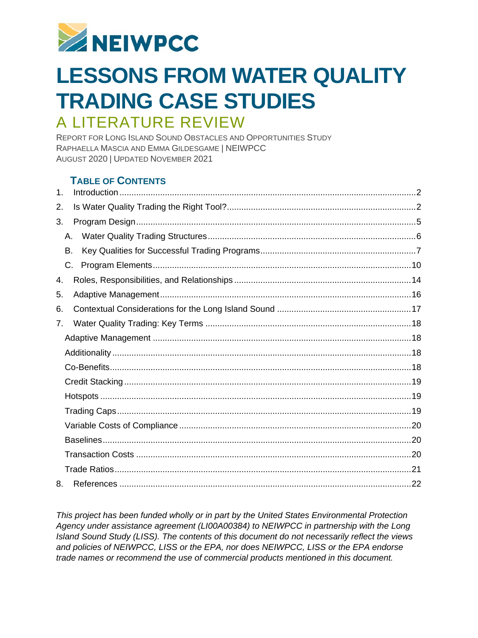

# **LESSONS FROM WATER QUALITY TRADING CASE STUDIES** A LITERATURE REVIEW

REPORT FOR LONG ISLAND SOUND OBSTACLES AND OPPORTUNITIES STUDY RAPHAELLA MASCIA AND EMMA GILDESGAME | NEIWPCC AUGUST 2020 | UPDATED NOVEMBER 2021

# **TABLE OF CONTENTS**

| 1. |    |  |
|----|----|--|
| 2. |    |  |
| 3. |    |  |
|    | А. |  |
|    | В. |  |
|    | C. |  |
| 4. |    |  |
| 5. |    |  |
| 6. |    |  |
| 7. |    |  |
|    |    |  |
|    |    |  |
|    |    |  |
|    |    |  |
|    |    |  |
|    |    |  |
|    |    |  |
|    |    |  |
|    |    |  |
|    |    |  |
| 8. |    |  |

*This project has been funded wholly or in part by the United States Environmental Protection Agency under assistance agreement (LI00A00384) to NEIWPCC in partnership with the Long Island Sound Study (LISS). The contents of this document do not necessarily reflect the views and policies of NEIWPCC, LISS or the EPA, nor does NEIWPCC, LISS or the EPA endorse trade names or recommend the use of commercial products mentioned in this document.*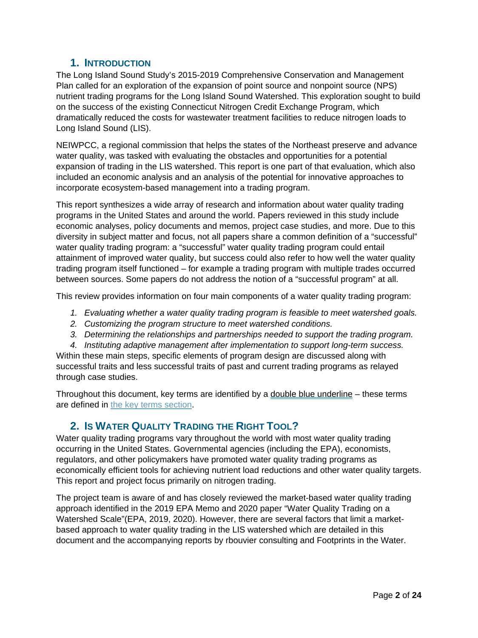# **1. INTRODUCTION**

<span id="page-1-0"></span>The Long Island Sound Study's 2015-2019 Comprehensive Conservation and Management Plan called for an exploration of the expansion of point source and nonpoint source (NPS) nutrient trading programs for the Long Island Sound Watershed. This exploration sought to build on the success of the existing Connecticut Nitrogen Credit Exchange Program, which dramatically reduced the costs for wastewater treatment facilities to reduce nitrogen loads to Long Island Sound (LIS).

NEIWPCC, a regional commission that helps the states of the Northeast preserve and advance water quality, was tasked with evaluating the obstacles and opportunities for a potential expansion of trading in the LIS watershed. This report is one part of that evaluation, which also included an economic analysis and an analysis of the potential for innovative approaches to incorporate ecosystem-based management into a trading program.

This report synthesizes a wide array of research and information about water quality trading programs in the United States and around the world. Papers reviewed in this study include economic analyses, policy documents and memos, project case studies, and more. Due to this diversity in subject matter and focus, not all papers share a common definition of a "successful" water quality trading program: a "successful" water quality trading program could entail attainment of improved water quality, but success could also refer to how well the water quality trading program itself functioned – for example a trading program with multiple trades occurred between sources. Some papers do not address the notion of a "successful program" at all.

This review provides information on four main components of a water quality trading program:

- *1. Evaluating whether a water quality trading program is feasible to meet watershed goals.*
- *2. Customizing the program structure to meet watershed conditions.*
- *3. Determining the relationships and partnerships needed to support the trading program.*

*4. Instituting adaptive management after implementation to support long-term success.*  Within these main steps, specific elements of program design are discussed along with successful traits and less successful traits of past and current trading programs as relayed through case studies.

Throughout this document, key terms are identified by a double blue underline – these terms are defined in [the key terms section.](#page-17-0)

# <span id="page-1-1"></span>**2. IS WATER QUALITY TRADING THE RIGHT TOOL?**

Water quality trading programs vary throughout the world with most water quality trading occurring in the United States. Governmental agencies (including the EPA), economists, regulators, and other policymakers have promoted water quality trading programs as economically efficient tools for achieving nutrient load reductions and other water quality targets. This report and project focus primarily on nitrogen trading.

The project team is aware of and has closely reviewed the market-based water quality trading approach identified in the 2019 EPA Memo and 2020 paper "Water Quality Trading on a Watershed Scale"(EPA, 2019, 2020). However, there are several factors that limit a marketbased approach to water quality trading in the LIS watershed which are detailed in this document and the accompanying reports by rbouvier consulting and Footprints in the Water.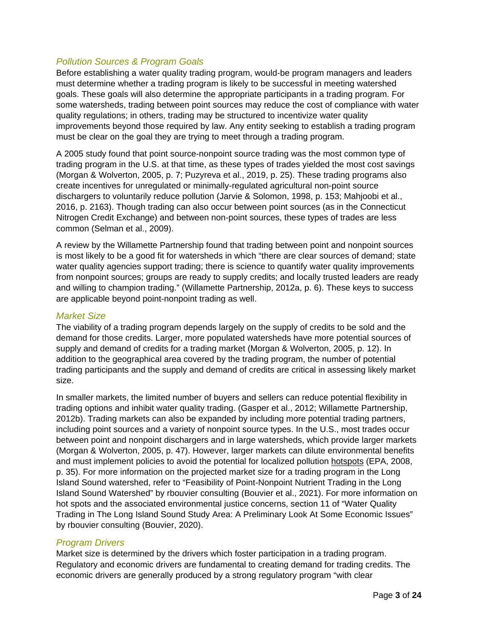# *Pollution Sources & Program Goals*

Before establishing a water quality trading program, would-be program managers and leaders must determine whether a trading program is likely to be successful in meeting watershed goals. These goals will also determine the appropriate participants in a trading program. For some watersheds, trading between point sources may reduce the cost of compliance with water quality regulations; in others, trading may be structured to incentivize water quality improvements beyond those required by law. Any entity seeking to establish a trading program must be clear on the goal they are trying to meet through a trading program.

A 2005 study found that point source-nonpoint source trading was the most common type of trading program in the U.S. at that time, as these types of trades yielded the most cost savings (Morgan & Wolverton, 2005, p. 7; Puzyreva et al., 2019, p. 25). These trading programs also create incentives for unregulated or minimally-regulated agricultural non-point source dischargers to voluntarily reduce pollution (Jarvie & Solomon, 1998, p. 153; Mahjoobi et al., 2016, p. 2163). Though trading can also occur between point sources (as in the Connecticut Nitrogen Credit Exchange) and between non-point sources, these types of trades are less common (Selman et al., 2009).

A review by the Willamette Partnership found that trading between point and nonpoint sources is most likely to be a good fit for watersheds in which "there are clear sources of demand; state water quality agencies support trading; there is science to quantify water quality improvements from nonpoint sources; groups are ready to supply credits; and locally trusted leaders are ready and willing to champion trading." (Willamette Partnership, 2012a, p. 6). These keys to success are applicable beyond point-nonpoint trading as well.

# *Market Size*

The viability of a trading program depends largely on the supply of credits to be sold and the demand for those credits. Larger, more populated watersheds have more potential sources of supply and demand of credits for a trading market (Morgan & Wolverton, 2005, p. 12). In addition to the geographical area covered by the trading program, the number of potential trading participants and the supply and demand of credits are critical in assessing likely market size.

In smaller markets, the limited number of buyers and sellers can reduce potential flexibility in trading options and inhibit water quality trading. (Gasper et al., 2012; Willamette Partnership, 2012b). Trading markets can also be expanded by including more potential trading partners, including point sources and a variety of nonpoint source types. In the U.S., most trades occur between point and nonpoint dischargers and in large watersheds, which provide larger markets (Morgan & Wolverton, 2005, p. 47). However, larger markets can dilute environmental benefits and must implement policies to avoid the potential for localized pollution hotspots (EPA, 2008, p. 35). For more information on the projected market size for a trading program in the Long Island Sound watershed, refer to "Feasibility of Point-Nonpoint Nutrient Trading in the Long Island Sound Watershed" by rbouvier consulting (Bouvier et al., 2021). For more information on hot spots and the associated environmental justice concerns, section 11 of "Water Quality Trading in The Long Island Sound Study Area: A Preliminary Look At Some Economic Issues" by rbouvier consulting (Bouvier, 2020).

# <span id="page-2-0"></span>*Program Drivers*

Market size is determined by the drivers which foster participation in a trading program. Regulatory and economic drivers are fundamental to creating demand for trading credits. The economic drivers are generally produced by a strong regulatory program "with clear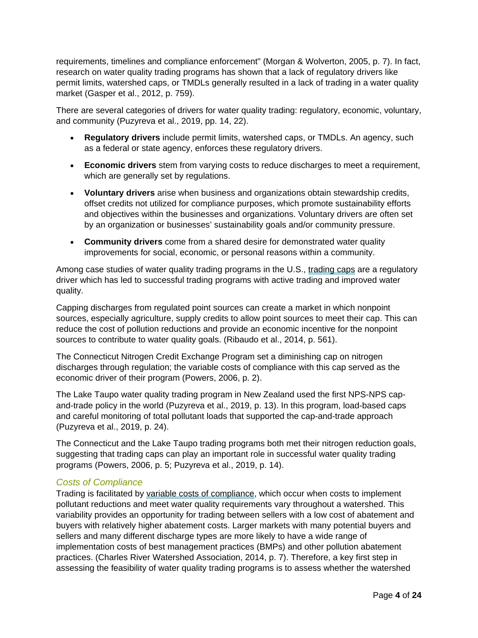requirements, timelines and compliance enforcement" (Morgan & Wolverton, 2005, p. 7). In fact, research on water quality trading programs has shown that a lack of regulatory drivers like permit limits, watershed caps, or TMDLs generally resulted in a lack of trading in a water quality market (Gasper et al., 2012, p. 759).

There are several categories of drivers for water quality trading: regulatory, economic, voluntary, and community (Puzyreva et al., 2019, pp. 14, 22).

- **Regulatory drivers** include permit limits, watershed caps, or TMDLs. An agency, such as a federal or state agency, enforces these regulatory drivers.
- **Economic drivers** stem from varying costs to reduce discharges to meet a requirement, which are generally set by regulations.
- **Voluntary drivers** arise when business and organizations obtain stewardship credits, offset credits not utilized for compliance purposes, which promote sustainability efforts and objectives within the businesses and organizations. Voluntary drivers are often set by an organization or businesses' sustainability goals and/or community pressure.
- **Community drivers** come from a shared desire for demonstrated water quality improvements for social, economic, or personal reasons within a community.

Among case studies of water quality trading programs in the U.S., trading caps are a regulatory driver which has led to successful trading programs with active trading and improved water quality.

Capping discharges from regulated point sources can create a market in which nonpoint sources, especially agriculture, supply credits to allow point sources to meet their cap. This can reduce the cost of pollution reductions and provide an economic incentive for the nonpoint sources to contribute to water quality goals. (Ribaudo et al., 2014, p. 561).

The Connecticut Nitrogen Credit Exchange Program set a diminishing cap on nitrogen discharges through regulation; the variable costs of compliance with this cap served as the economic driver of their program (Powers, 2006, p. 2).

The Lake Taupo water quality trading program in New Zealand used the first NPS-NPS capand-trade policy in the world (Puzyreva et al., 2019, p. 13). In this program, load-based caps and careful monitoring of total pollutant loads that supported the cap-and-trade approach (Puzyreva et al., 2019, p. 24).

The Connecticut and the Lake Taupo trading programs both met their nitrogen reduction goals, suggesting that trading caps can play an important role in successful water quality trading programs (Powers, 2006, p. 5; Puzyreva et al., 2019, p. 14).

# *Costs of Compliance*

Trading is facilitated by variable costs of compliance, which occur when costs to implement pollutant reductions and meet water quality requirements vary throughout a watershed. This variability provides an opportunity for trading between sellers with a low cost of abatement and buyers with relatively higher abatement costs. Larger markets with many potential buyers and sellers and many different discharge types are more likely to have a wide range of implementation costs of best management practices (BMPs) and other pollution abatement practices. (Charles River Watershed Association, 2014, p. 7). Therefore, a key first step in assessing the feasibility of water quality trading programs is to assess whether the watershed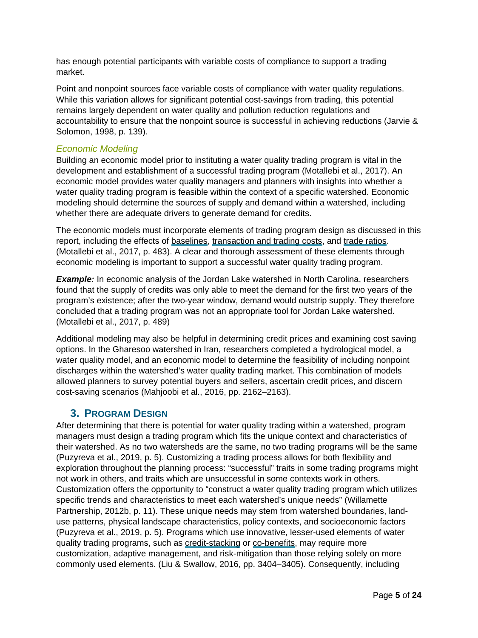has enough potential participants with variable costs of compliance to support a trading market.

Point and nonpoint sources face variable costs of compliance with water quality regulations. While this variation allows for significant potential cost-savings from trading, this potential remains largely dependent on water quality and pollution reduction regulations and accountability to ensure that the nonpoint source is successful in achieving reductions (Jarvie & Solomon, 1998, p. 139).

#### *Economic Modeling*

Building an economic model prior to instituting a water quality trading program is vital in the development and establishment of a successful trading program (Motallebi et al., 2017). An economic model provides water quality managers and planners with insights into whether a water quality trading program is feasible within the context of a specific watershed. Economic modeling should determine the sources of supply and demand within a watershed, including whether there are adequate drivers to generate demand for credits.

The economic models must incorporate elements of trading program design as discussed in this report, including the effects of baselines, transaction and trading costs, and trade ratios. (Motallebi et al., 2017, p. 483). A clear and thorough assessment of these elements through economic modeling is important to support a successful water quality trading program.

**Example:** In economic analysis of the Jordan Lake watershed in North Carolina, researchers found that the supply of credits was only able to meet the demand for the first two years of the program's existence; after the two-year window, demand would outstrip supply. They therefore concluded that a trading program was not an appropriate tool for Jordan Lake watershed. (Motallebi et al., 2017, p. 489)

Additional modeling may also be helpful in determining credit prices and examining cost saving options. In the Gharesoo watershed in Iran, researchers completed a hydrological model, a water quality model, and an economic model to determine the feasibility of including nonpoint discharges within the watershed's water quality trading market. This combination of models allowed planners to survey potential buyers and sellers, ascertain credit prices, and discern cost-saving scenarios (Mahjoobi et al., 2016, pp. 2162–2163).

# <span id="page-4-0"></span>**3. PROGRAM DESIGN**

After determining that there is potential for water quality trading within a watershed, program managers must design a trading program which fits the unique context and characteristics of their watershed. As no two watersheds are the same, no two trading programs will be the same (Puzyreva et al., 2019, p. 5). Customizing a trading process allows for both flexibility and exploration throughout the planning process: "successful" traits in some trading programs might not work in others, and traits which are unsuccessful in some contexts work in others. Customization offers the opportunity to "construct a water quality trading program which utilizes specific trends and characteristics to meet each watershed's unique needs" (Willamette Partnership, 2012b, p. 11). These unique needs may stem from watershed boundaries, landuse patterns, physical landscape characteristics, policy contexts, and socioeconomic factors (Puzyreva et al., 2019, p. 5). Programs which use innovative, lesser-used elements of water quality trading programs, such as credit-stacking or co-benefits, may require more customization, adaptive management, and risk-mitigation than those relying solely on more commonly used elements. (Liu & Swallow, 2016, pp. 3404–3405). Consequently, including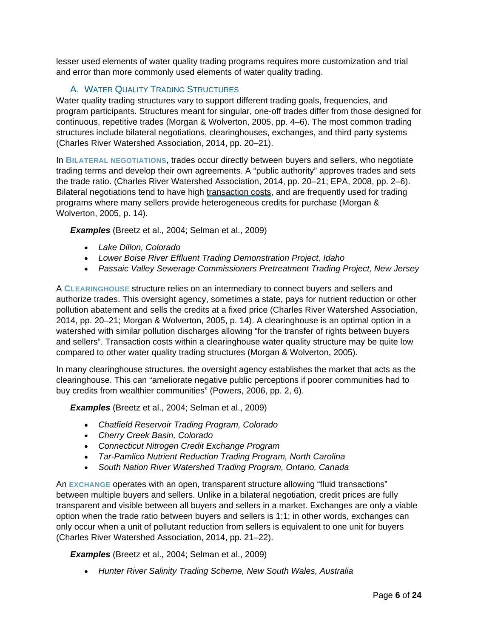lesser used elements of water quality trading programs requires more customization and trial and error than more commonly used elements of water quality trading.

# A. WATER QUALITY TRADING STRUCTURES

<span id="page-5-0"></span>Water quality trading structures vary to support different trading goals, frequencies, and program participants. Structures meant for singular, one-off trades differ from those designed for continuous, repetitive trades (Morgan & Wolverton, 2005, pp. 4–6). The most common trading structures include bilateral negotiations, clearinghouses, exchanges, and third party systems (Charles River Watershed Association, 2014, pp. 20–21).

In **BILATERAL NEGOTIATIONS**, trades occur directly between buyers and sellers, who negotiate trading terms and develop their own agreements. A "public authority" approves trades and sets the trade ratio. (Charles River Watershed Association, 2014, pp. 20–21; EPA, 2008, pp. 2–6). Bilateral negotiations tend to have high transaction costs, and are frequently used for trading programs where many sellers provide heterogeneous credits for purchase (Morgan & Wolverton, 2005, p. 14).

*Examples* (Breetz et al., 2004; Selman et al., 2009)

- *Lake Dillon, Colorado*
- *Lower Boise River Effluent Trading Demonstration Project, Idaho*
- *Passaic Valley Sewerage Commissioners Pretreatment Trading Project, New Jersey*

A **CLEARINGHOUSE** structure relies on an intermediary to connect buyers and sellers and authorize trades. This oversight agency, sometimes a state, pays for nutrient reduction or other pollution abatement and sells the credits at a fixed price (Charles River Watershed Association, 2014, pp. 20–21; Morgan & Wolverton, 2005, p. 14). A clearinghouse is an optimal option in a watershed with similar pollution discharges allowing "for the transfer of rights between buyers and sellers". Transaction costs within a clearinghouse water quality structure may be quite low compared to other water quality trading structures (Morgan & Wolverton, 2005).

In many clearinghouse structures, the oversight agency establishes the market that acts as the clearinghouse. This can "ameliorate negative public perceptions if poorer communities had to buy credits from wealthier communities" (Powers, 2006, pp. 2, 6).

*Examples* (Breetz et al., 2004; Selman et al., 2009)

- *Chatfield Reservoir Trading Program, Colorado*
- *Cherry Creek Basin, Colorado*
- *Connecticut Nitrogen Credit Exchange Program*
- *Tar-Pamlico Nutrient Reduction Trading Program, North Carolina*
- *South Nation River Watershed Trading Program, Ontario, Canada*

An **EXCHANGE** operates with an open, transparent structure allowing "fluid transactions" between multiple buyers and sellers. Unlike in a bilateral negotiation, credit prices are fully transparent and visible between all buyers and sellers in a market. Exchanges are only a viable option when the trade ratio between buyers and sellers is 1:1; in other words, exchanges can only occur when a unit of pollutant reduction from sellers is equivalent to one unit for buyers (Charles River Watershed Association, 2014, pp. 21–22).

*Examples* (Breetz et al., 2004; Selman et al., 2009)

• *Hunter River Salinity Trading Scheme, New South Wales, Australia*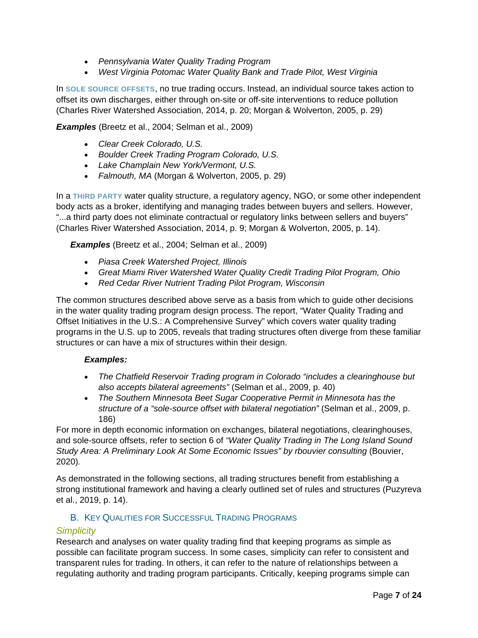- *Pennsylvania Water Quality Trading Program*
- *West Virginia Potomac Water Quality Bank and Trade Pilot, West Virginia*

In **SOLE SOURCE OFFSETS**, no true trading occurs. Instead, an individual source takes action to offset its own discharges, either through on-site or off-site interventions to reduce pollution (Charles River Watershed Association, 2014, p. 20; Morgan & Wolverton, 2005, p. 29)

*Examples* (Breetz et al., 2004; Selman et al., 2009)

- *Clear Creek Colorado, U.S.*
- *Boulder Creek Trading Program Colorado, U.S.*
- *Lake Champlain New York/Vermont, U.S.*
- *Falmouth, MA* (Morgan & Wolverton, 2005, p. 29)

In a **THIRD PARTY** water quality structure, a regulatory agency, NGO, or some other independent body acts as a broker, identifying and managing trades between buyers and sellers. However, "...a third party does not eliminate contractual or regulatory links between sellers and buyers" (Charles River Watershed Association, 2014, p. 9; Morgan & Wolverton, 2005, p. 14).

*Examples* (Breetz et al., 2004; Selman et al., 2009)

- *Piasa Creek Watershed Project, Illinois*
- *Great Miami River Watershed Water Quality Credit Trading Pilot Program, Ohio*
- *Red Cedar River Nutrient Trading Pilot Program, Wisconsin*

The common structures described above serve as a basis from which to guide other decisions in the water quality trading program design process. The report, "Water Quality Trading and Offset Initiatives in the U.S.: A Comprehensive Survey" which covers water quality trading programs in the U.S. up to 2005, reveals that trading structures often diverge from these familiar structures or can have a mix of structures within their design.

#### *Examples:*

- *The Chatfield Reservoir Trading program in Colorado "includes a clearinghouse but also accepts bilateral agreements"* (Selman et al., 2009, p. 40)
- *The Southern Minnesota Beet Sugar Cooperative Permit in Minnesota has the structure of a "sole-source offset with bilateral negotiation"* (Selman et al., 2009, p. 186)

For more in depth economic information on exchanges, bilateral negotiations, clearinghouses, and sole-source offsets, refer to section 6 of *"Water Quality Trading in The Long Island Sound*  Study Area: A Preliminary Look At Some Economic Issues" by rbouvier consulting (Bouvier, 2020)*.*

As demonstrated in the following sections, all trading structures benefit from establishing a strong institutional framework and having a clearly outlined set of rules and structures (Puzyreva et al., 2019, p. 14).

# B. KEY QUALITIES FOR SUCCESSFUL TRADING PROGRAMS

#### <span id="page-6-1"></span><span id="page-6-0"></span>*Simplicity*

Research and analyses on water quality trading find that keeping programs as simple as possible can facilitate program success. In some cases, simplicity can refer to consistent and transparent rules for trading. In others, it can refer to the nature of relationships between a regulating authority and trading program participants. Critically, keeping programs simple can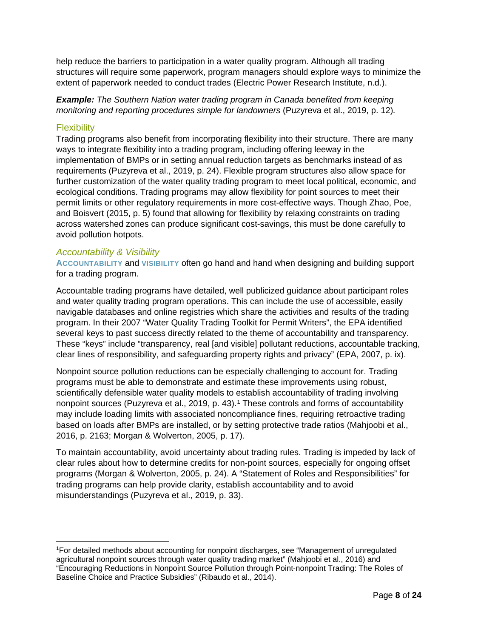help reduce the barriers to participation in a water quality program. Although all trading structures will require some paperwork, program managers should explore ways to minimize the extent of paperwork needed to conduct trades (Electric Power Research Institute, n.d.).

*Example: The Southern Nation water trading program in Canada benefited from keeping monitoring and reporting procedures simple for landowners* (Puzyreva et al., 2019, p. 12)*.*

### **Flexibility**

Trading programs also benefit from incorporating flexibility into their structure. There are many ways to integrate flexibility into a trading program, including offering leeway in the implementation of BMPs or in setting annual reduction targets as benchmarks instead of as requirements (Puzyreva et al., 2019, p. 24). Flexible program structures also allow space for further customization of the water quality trading program to meet local political, economic, and ecological conditions. Trading programs may allow flexibility for point sources to meet their permit limits or other regulatory requirements in more cost-effective ways. Though Zhao, Poe, and Boisvert (2015, p. 5) found that allowing for flexibility by relaxing constraints on trading across watershed zones can produce significant cost-savings, this must be done carefully to avoid pollution hotpots.

#### <span id="page-7-1"></span>*Accountability & Visibility*

**ACCOUNTABILITY** and **VISIBILITY** often go hand and hand when designing and building support for a trading program.

Accountable trading programs have detailed, well publicized guidance about participant roles and water quality trading program operations. This can include the use of accessible, easily navigable databases and online registries which share the activities and results of the trading program. In their 2007 "Water Quality Trading Toolkit for Permit Writers", the EPA identified several keys to past success directly related to the theme of accountability and transparency. These "keys" include "transparency, real [and visible] pollutant reductions, accountable tracking, clear lines of responsibility, and safeguarding property rights and privacy" (EPA, 2007, p. ix).

Nonpoint source pollution reductions can be especially challenging to account for. Trading programs must be able to demonstrate and estimate these improvements using robust, scientifically defensible water quality models to establish accountability of trading involving nonpoint sources (Puzyreva et al., 20[1](#page-7-0)9, p. 43).<sup>1</sup> These controls and forms of accountability may include loading limits with associated noncompliance fines, requiring retroactive trading based on loads after BMPs are installed, or by setting protective trade ratios (Mahjoobi et al., 2016, p. 2163; Morgan & Wolverton, 2005, p. 17).

To maintain accountability, avoid uncertainty about trading rules. Trading is impeded by lack of clear rules about how to determine credits for non-point sources, especially for ongoing offset programs (Morgan & Wolverton, 2005, p. 24). A "Statement of Roles and Responsibilities" for trading programs can help provide clarity, establish accountability and to avoid misunderstandings (Puzyreva et al., 2019, p. 33).

<span id="page-7-0"></span><sup>1</sup>For detailed methods about accounting for nonpoint discharges, see "Management of unregulated agricultural nonpoint sources through water quality trading market" (Mahjoobi et al., 2016) and "Encouraging Reductions in Nonpoint Source Pollution through Point‐nonpoint Trading: The Roles of Baseline Choice and Practice Subsidies" (Ribaudo et al., 2014).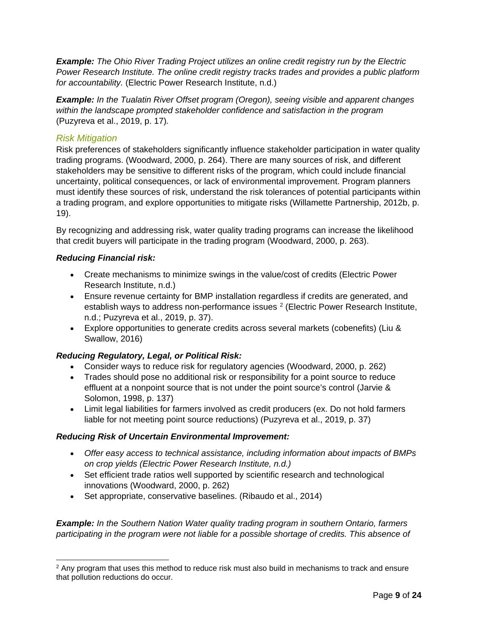*Example: The Ohio River Trading Project utilizes an online credit registry run by the Electric Power Research Institute. The online credit registry tracks trades and provides a public platform for accountability.* (Electric Power Research Institute, n.d.)

*Example: In the Tualatin River Offset program (Oregon), seeing visible and apparent changes within the landscape prompted stakeholder confidence and satisfaction in the program*  (Puzyreva et al., 2019, p. 17)*.*

# <span id="page-8-1"></span>*Risk Mitigation*

Risk preferences of stakeholders significantly influence stakeholder participation in water quality trading programs. (Woodward, 2000, p. 264). There are many sources of risk, and different stakeholders may be sensitive to different risks of the program, which could include financial uncertainty, political consequences, or lack of environmental improvement. Program planners must identify these sources of risk, understand the risk tolerances of potential participants within a trading program, and explore opportunities to mitigate risks (Willamette Partnership, 2012b, p. 19).

By recognizing and addressing risk, water quality trading programs can increase the likelihood that credit buyers will participate in the trading program (Woodward, 2000, p. 263).

# *Reducing Financial risk:*

- Create mechanisms to minimize swings in the value/cost of credits (Electric Power Research Institute, n.d.)
- Ensure revenue certainty for BMP installation regardless if credits are generated, and establish ways to address non-performance issues <sup>[2](#page-8-0)</sup> (Electric Power Research Institute, n.d.; Puzyreva et al., 2019, p. 37).
- Explore opportunities to generate credits across several markets (cobenefits) (Liu & Swallow, 2016)

# *Reducing Regulatory, Legal, or Political Risk:*

- Consider ways to reduce risk for regulatory agencies (Woodward, 2000, p. 262)
- Trades should pose no additional risk or responsibility for a point source to reduce effluent at a nonpoint source that is not under the point source's control (Jarvie & Solomon, 1998, p. 137)
- Limit legal liabilities for farmers involved as credit producers (ex. Do not hold farmers liable for not meeting point source reductions) (Puzyreva et al., 2019, p. 37)

#### *Reducing Risk of Uncertain Environmental Improvement:*

- *Offer easy access to technical assistance, including information about impacts of BMPs on crop yields (Electric Power Research Institute, n.d.)*
- Set efficient trade ratios well supported by scientific research and technological innovations (Woodward, 2000, p. 262)
- Set appropriate, conservative baselines. (Ribaudo et al., 2014)

*Example: In the Southern Nation Water quality trading program in southern Ontario, farmers participating in the program were not liable for a possible shortage of credits. This absence of* 

<span id="page-8-0"></span> $2$  Any program that uses this method to reduce risk must also build in mechanisms to track and ensure that pollution reductions do occur.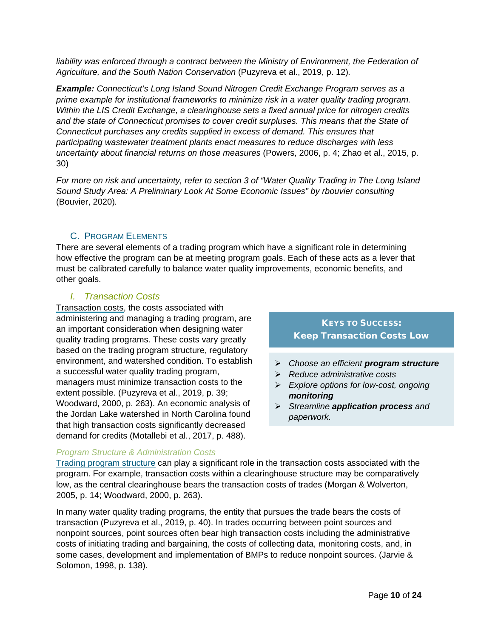liability was enforced through a contract between the Ministry of Environment, the Federation of *Agriculture, and the South Nation Conservation* (Puzyreva et al., 2019, p. 12)*.*

*Example: Connecticut's Long Island Sound Nitrogen Credit Exchange Program serves as a prime example for institutional frameworks to minimize risk in a water quality trading program. Within the LIS Credit Exchange, a clearinghouse sets a fixed annual price for nitrogen credits and the state of Connecticut promises to cover credit surpluses. This means that the State of Connecticut purchases any credits supplied in excess of demand. This ensures that participating wastewater treatment plants enact measures to reduce discharges with less uncertainty about financial returns on those measures* (Powers, 2006, p. 4; Zhao et al., 2015, p. 30)

*For more on risk and uncertainty, refer to section 3 of "Water Quality Trading in The Long Island Sound Study Area: A Preliminary Look At Some Economic Issues" by rbouvier consulting*  (Bouvier, 2020)*.*

# C. PROGRAM ELEMENTS

<span id="page-9-0"></span>There are several elements of a trading program which have a significant role in determining how effective the program can be at meeting program goals. Each of these acts as a lever that must be calibrated carefully to balance water quality improvements, economic benefits, and other goals.

#### *I. Transaction Costs*

<span id="page-9-1"></span>Transaction costs, the costs associated with administering and managing a trading program, are an important consideration when designing water quality trading programs. These costs vary greatly based on the trading program structure, regulatory environment, and watershed condition. To establish a successful water quality trading program, managers must minimize transaction costs to the extent possible. (Puzyreva et al., 2019, p. 39; Woodward, 2000, p. 263). An economic analysis of the Jordan Lake watershed in North Carolina found that high transaction costs significantly decreased demand for credits (Motallebi et al., 2017, p. 488).

# KEYS TO SUCCESS: Keep Transaction Costs Low

- *Choose an efficient program structure*
- *Reduce administrative costs*
- *Explore options for low-cost, ongoing monitoring*
- *Streamline application process and paperwork.*

# *Program Structure & Administration Costs*

[Trading program structure](#page-5-0) can play a significant role in the transaction costs associated with the program. For example, transaction costs within a clearinghouse structure may be comparatively low, as the central clearinghouse bears the transaction costs of trades (Morgan & Wolverton, 2005, p. 14; Woodward, 2000, p. 263).

In many water quality trading programs, the entity that pursues the trade bears the costs of transaction (Puzyreva et al., 2019, p. 40). In trades occurring between point sources and nonpoint sources, point sources often bear high transaction costs including the administrative costs of initiating trading and bargaining, the costs of collecting data, monitoring costs, and, in some cases, development and implementation of BMPs to reduce nonpoint sources. (Jarvie & Solomon, 1998, p. 138).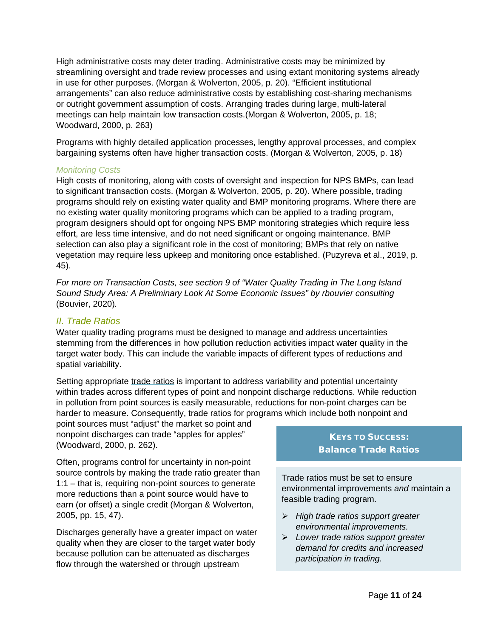High administrative costs may deter trading. Administrative costs may be minimized by streamlining oversight and trade review processes and using extant monitoring systems already in use for other purposes. (Morgan & Wolverton, 2005, p. 20). "Efficient institutional arrangements" can also reduce administrative costs by establishing cost-sharing mechanisms or outright government assumption of costs. Arranging trades during large, multi-lateral meetings can help maintain low transaction costs.(Morgan & Wolverton, 2005, p. 18; Woodward, 2000, p. 263)

Programs with highly detailed application processes, lengthy approval processes, and complex bargaining systems often have higher transaction costs. (Morgan & Wolverton, 2005, p. 18)

#### *Monitoring Costs*

High costs of monitoring, along with costs of oversight and inspection for NPS BMPs, can lead to significant transaction costs. (Morgan & Wolverton, 2005, p. 20). Where possible, trading programs should rely on existing water quality and BMP monitoring programs. Where there are no existing water quality monitoring programs which can be applied to a trading program, program designers should opt for ongoing NPS BMP monitoring strategies which require less effort, are less time intensive, and do not need significant or ongoing maintenance. BMP selection can also play a significant role in the cost of monitoring; BMPs that rely on native vegetation may require less upkeep and monitoring once established. (Puzyreva et al., 2019, p. 45).

*For more on Transaction Costs, see section 9 of "Water Quality Trading in The Long Island Sound Study Area: A Preliminary Look At Some Economic Issues" by rbouvier consulting* (Bouvier, 2020)*.* 

# <span id="page-10-0"></span>*II. Trade Ratios*

Water quality trading programs must be designed to manage and address uncertainties stemming from the differences in how pollution reduction activities impact water quality in the target water body. This can include the variable impacts of different types of reductions and spatial variability.

Setting appropriate trade ratios is important to address variability and potential uncertainty within trades across different types of point and nonpoint discharge reductions. While reduction in pollution from point sources is easily measurable, reductions for non-point charges can be harder to measure. Consequently, trade ratios for programs which include both nonpoint and

point sources must "adjust" the market so point and nonpoint discharges can trade "apples for apples" (Woodward, 2000, p. 262).

Often, programs control for uncertainty in non-point source controls by making the trade ratio greater than 1:1 – that is, requiring non-point sources to generate more reductions than a point source would have to earn (or offset) a single credit (Morgan & Wolverton, 2005, pp. 15, 47).

Discharges generally have a greater impact on water quality when they are closer to the target water body because pollution can be attenuated as discharges flow through the watershed or through upstream

# KEYS TO SUCCESS: Balance Trade Ratios

Trade ratios must be set to ensure environmental improvements *and* maintain a feasible trading program.

- *High trade ratios support greater environmental improvements.*
- *Lower trade ratios support greater demand for credits and increased participation in trading.*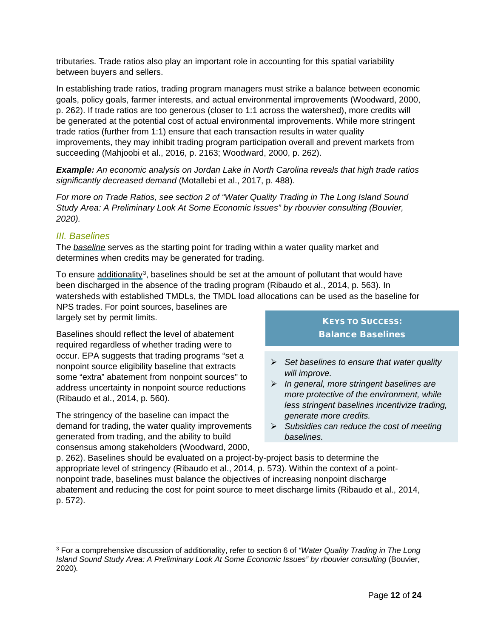tributaries. Trade ratios also play an important role in accounting for this spatial variability between buyers and sellers.

In establishing trade ratios, trading program managers must strike a balance between economic goals, policy goals, farmer interests, and actual environmental improvements (Woodward, 2000, p. 262). If trade ratios are too generous (closer to 1:1 across the watershed), more credits will be generated at the potential cost of actual environmental improvements. While more stringent trade ratios (further from 1:1) ensure that each transaction results in water quality improvements, they may inhibit trading program participation overall and prevent markets from succeeding (Mahjoobi et al., 2016, p. 2163; Woodward, 2000, p. 262).

*Example: An economic analysis on Jordan Lake in North Carolina reveals that high trade ratios significantly decreased demand* (Motallebi et al., 2017, p. 488)*.* 

*For more on Trade Ratios, see section 2 of "Water Quality Trading in The Long Island Sound Study Area: A Preliminary Look At Some Economic Issues" by rbouvier consulting (Bouvier, 2020).*

# <span id="page-11-1"></span>*III. Baselines*

Th*e baseline* serves as the starting point for trading within a water quality market and determines when credits may be generated for trading.

To ensure additionality<sup>[3](#page-11-0)</sup>, baselines should be set at the amount of pollutant that would have been discharged in the absence of the trading program (Ribaudo et al., 2014, p. 563). In watersheds with established TMDLs, the TMDL load allocations can be used as the baseline for

NPS trades. For point sources, baselines are largely set by permit limits.

Baselines should reflect the level of abatement required regardless of whether trading were to occur. EPA suggests that trading programs "set a nonpoint source eligibility baseline that extracts some "extra" abatement from nonpoint sources" to address uncertainty in nonpoint source reductions (Ribaudo et al., 2014, p. 560).

The stringency of the baseline can impact the demand for trading, the water quality improvements generated from trading, and the ability to build consensus among stakeholders (Woodward, 2000,

# KEYS TO SUCCESS: Balance Baselines

- *Set baselines to ensure that water quality will improve.*
- *In general, more stringent baselines are more protective of the environment, while less stringent baselines incentivize trading, generate more credits.*
- *Subsidies can reduce the cost of meeting baselines.*

p. 262). Baselines should be evaluated on a project-by-project basis to determine the appropriate level of stringency (Ribaudo et al., 2014, p. 573). Within the context of a pointnonpoint trade, baselines must balance the objectives of increasing nonpoint discharge abatement and reducing the cost for point source to meet discharge limits (Ribaudo et al., 2014, p. 572).

<span id="page-11-0"></span><sup>3</sup> For a comprehensive discussion of additionality, refer to section 6 of *"Water Quality Trading in The Long Island Sound Study Area: A Preliminary Look At Some Economic Issues" by rbouvier consulting (Bouvier,* 2020)*.*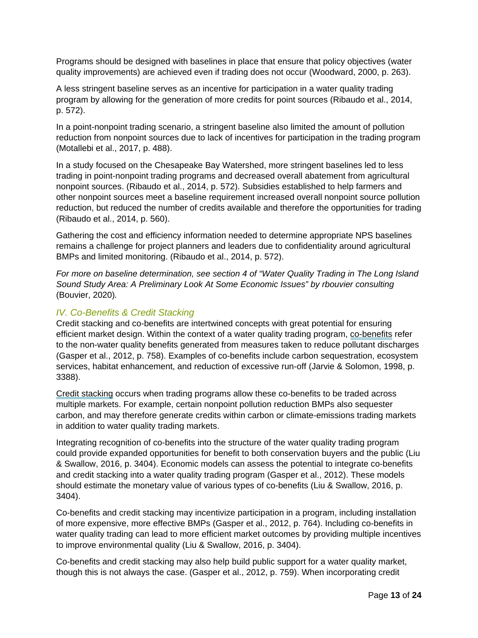Programs should be designed with baselines in place that ensure that policy objectives (water quality improvements) are achieved even if trading does not occur (Woodward, 2000, p. 263).

A less stringent baseline serves as an incentive for participation in a water quality trading program by allowing for the generation of more credits for point sources (Ribaudo et al., 2014, p. 572).

In a point-nonpoint trading scenario, a stringent baseline also limited the amount of pollution reduction from nonpoint sources due to lack of incentives for participation in the trading program (Motallebi et al., 2017, p. 488).

In a study focused on the Chesapeake Bay Watershed, more stringent baselines led to less trading in point-nonpoint trading programs and decreased overall abatement from agricultural nonpoint sources. (Ribaudo et al., 2014, p. 572). Subsidies established to help farmers and other nonpoint sources meet a baseline requirement increased overall nonpoint source pollution reduction, but reduced the number of credits available and therefore the opportunities for trading (Ribaudo et al., 2014, p. 560).

Gathering the cost and efficiency information needed to determine appropriate NPS baselines remains a challenge for project planners and leaders due to confidentiality around agricultural BMPs and limited monitoring. (Ribaudo et al., 2014, p. 572).

*For more on baseline determination, see section 4 of "Water Quality Trading in The Long Island Sound Study Area: A Preliminary Look At Some Economic Issues" by rbouvier consulting*  (Bouvier, 2020)*.*

# <span id="page-12-0"></span>*IV. Co-Benefits & Credit Stacking*

Credit stacking and co-benefits are intertwined concepts with great potential for ensuring efficient market design. Within the context of a water quality trading program, co-benefits refer to the non-water quality benefits generated from measures taken to reduce pollutant discharges (Gasper et al., 2012, p. 758). Examples of co-benefits include carbon sequestration, ecosystem services, habitat enhancement, and reduction of excessive run-off (Jarvie & Solomon, 1998, p. 3388).

Credit stacking occurs when trading programs allow these co-benefits to be traded across multiple markets. For example, certain nonpoint pollution reduction BMPs also sequester carbon, and may therefore generate credits within carbon or climate-emissions trading markets in addition to water quality trading markets.

Integrating recognition of co-benefits into the structure of the water quality trading program could provide expanded opportunities for benefit to both conservation buyers and the public (Liu & Swallow, 2016, p. 3404). Economic models can assess the potential to integrate co-benefits and credit stacking into a water quality trading program (Gasper et al., 2012). These models should estimate the monetary value of various types of co-benefits (Liu & Swallow, 2016, p. 3404).

Co-benefits and credit stacking may incentivize participation in a program, including installation of more expensive, more effective BMPs (Gasper et al., 2012, p. 764). Including co-benefits in water quality trading can lead to more efficient market outcomes by providing multiple incentives to improve environmental quality (Liu & Swallow, 2016, p. 3404).

Co-benefits and credit stacking may also help build public support for a water quality market, though this is not always the case. (Gasper et al., 2012, p. 759). When incorporating credit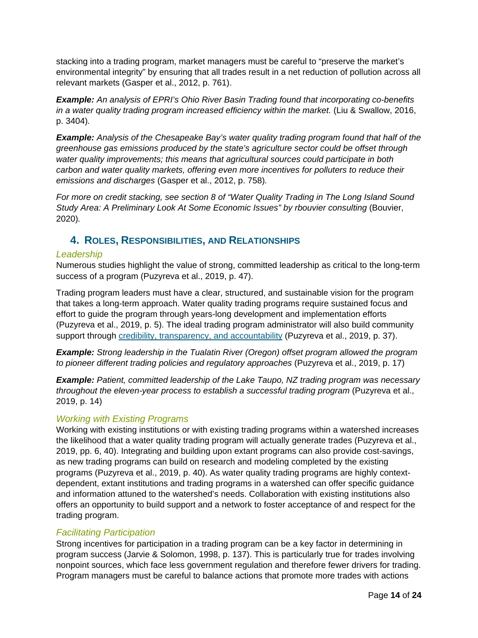stacking into a trading program, market managers must be careful to "preserve the market's environmental integrity" by ensuring that all trades result in a net reduction of pollution across all relevant markets (Gasper et al., 2012, p. 761).

*Example: An analysis of EPRI's Ohio River Basin Trading found that incorporating co-benefits in a water quality trading program increased efficiency within the market.* (Liu & Swallow, 2016, p. 3404)*.*

*Example: Analysis of the Chesapeake Bay's water quality trading program found that half of the greenhouse gas emissions produced by the state's agriculture sector could be offset through water quality improvements; this means that agricultural sources could participate in both carbon and water quality markets, offering even more incentives for polluters to reduce their emissions and discharges* (Gasper et al., 2012, p. 758)*.*

*For more on credit stacking, see section 8 of "Water Quality Trading in The Long Island Sound Study Area: A Preliminary Look At Some Economic Issues" by rbouvier consulting* (Bouvier, 2020)*.*

# <span id="page-13-0"></span>**4. ROLES, RESPONSIBILITIES, AND RELATIONSHIPS**

#### *Leadership*

Numerous studies highlight the value of strong, committed leadership as critical to the long-term success of a program (Puzyreva et al., 2019, p. 47).

Trading program leaders must have a clear, structured, and sustainable vision for the program that takes a long-term approach. Water quality trading programs require sustained focus and effort to guide the program through years-long development and implementation efforts (Puzyreva et al., 2019, p. 5). The ideal trading program administrator will also build community support through [credibility, transparency, and accountability](#page-7-1) (Puzyreva et al., 2019, p. 37).

*Example: Strong leadership in the Tualatin River (Oregon) offset program allowed the program to pioneer different trading policies and regulatory approaches (Puzyreva et al., 2019, p. 17)* 

*Example: Patient, committed leadership of the Lake Taupo, NZ trading program was necessary throughout the eleven-year process to establish a successful trading program* (Puzyreva et al., 2019, p. 14)

# *Working with Existing Programs*

Working with existing institutions or with existing trading programs within a watershed increases the likelihood that a water quality trading program will actually generate trades (Puzyreva et al., 2019, pp. 6, 40). Integrating and building upon extant programs can also provide cost-savings, as new trading programs can build on research and modeling completed by the existing programs (Puzyreva et al., 2019, p. 40). As water quality trading programs are highly contextdependent, extant institutions and trading programs in a watershed can offer specific guidance and information attuned to the watershed's needs. Collaboration with existing institutions also offers an opportunity to build support and a network to foster acceptance of and respect for the trading program.

#### *Facilitating Participation*

Strong incentives for participation in a trading program can be a key factor in determining in program success (Jarvie & Solomon, 1998, p. 137). This is particularly true for trades involving nonpoint sources, which face less government regulation and therefore fewer drivers for trading. Program managers must be careful to balance actions that promote more trades with actions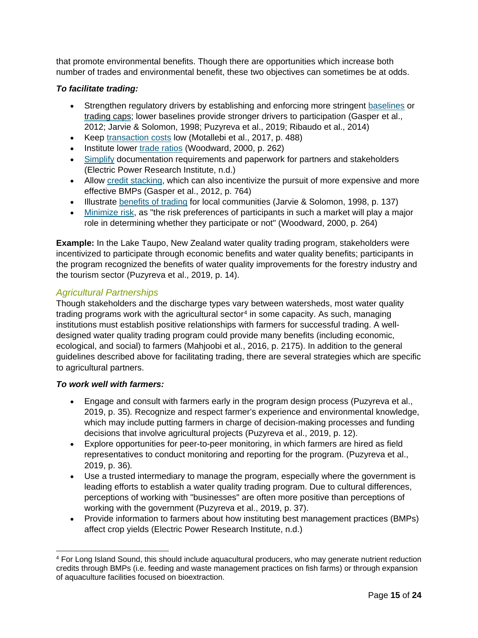that promote environmental benefits. Though there are opportunities which increase both number of trades and environmental benefit, these two objectives can sometimes be at odds.

### *To facilitate trading:*

- Strengthen regulatory drivers by establishing and enforcing more stringent [baselines](#page-11-1) or trading caps; lower baselines provide stronger drivers to participation (Gasper et al., 2012; Jarvie & Solomon, 1998; Puzyreva et al., 2019; Ribaudo et al., 2014)
- Keep [transaction costs](#page-9-1) low (Motallebi et al., 2017, p. 488)
- Institute lower [trade ratios](#page-10-0) (Woodward, 2000, p. 262)
- [Simplify](#page-6-1) documentation requirements and paperwork for partners and stakeholders (Electric Power Research Institute, n.d.)
- Allow [credit stacking,](#page-12-0) which can also incentivize the pursuit of more expensive and more effective BMPs (Gasper et al., 2012, p. 764)
- Illustrate [benefits of trading](#page-2-0) for local communities (Jarvie & Solomon, 1998, p. 137)
- [Minimize risk,](#page-8-1) as "the risk preferences of participants in such a market will play a major role in determining whether they participate or not" (Woodward, 2000, p. 264)

**Example:** In the Lake Taupo, New Zealand water quality trading program, stakeholders were incentivized to participate through economic benefits and water quality benefits; participants in the program recognized the benefits of water quality improvements for the forestry industry and the tourism sector (Puzyreva et al., 2019, p. 14).

# *Agricultural Partnerships*

Though stakeholders and the discharge types vary between watersheds, most water quality trading programs work with the agricultural sector<sup>[4](#page-14-0)</sup> in some capacity. As such, managing institutions must establish positive relationships with farmers for successful trading. A welldesigned water quality trading program could provide many benefits (including economic, ecological, and social) to farmers (Mahjoobi et al., 2016, p. 2175). In addition to the general guidelines described above for facilitating trading, there are several strategies which are specific to agricultural partners.

#### *To work well with farmers:*

- Engage and consult with farmers early in the program design process (Puzyreva et al., 2019, p. 35)*.* Recognize and respect farmer's experience and environmental knowledge, which may include putting farmers in charge of decision-making processes and funding decisions that involve agricultural projects (Puzyreva et al., 2019, p. 12).
- Explore opportunities for peer-to-peer monitoring, in which farmers are hired as field representatives to conduct monitoring and reporting for the program. (Puzyreva et al., 2019, p. 36)*.*
- Use a trusted intermediary to manage the program, especially where the government is leading efforts to establish a water quality trading program. Due to cultural differences, perceptions of working with "businesses" are often more positive than perceptions of working with the government (Puzyreva et al., 2019, p. 37).
- Provide information to farmers about how instituting best management practices (BMPs) affect crop yields (Electric Power Research Institute, n.d.)

<span id="page-14-0"></span><sup>&</sup>lt;sup>4</sup> For Long Island Sound, this should include aquacultural producers, who may generate nutrient reduction credits through BMPs (i.e. feeding and waste management practices on fish farms) or through expansion of aquaculture facilities focused on bioextraction.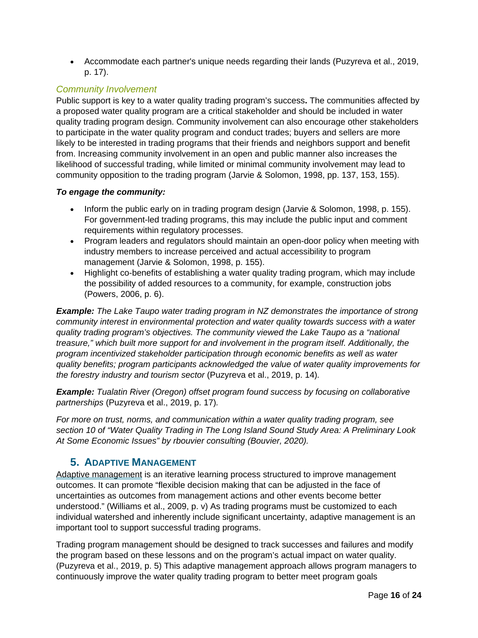• Accommodate each partner's unique needs regarding their lands (Puzyreva et al., 2019, p. 17).

# <span id="page-15-1"></span>*Community Involvement*

Public support is key to a water quality trading program's success**.** The communities affected by a proposed water quality program are a critical stakeholder and should be included in water quality trading program design. Community involvement can also encourage other stakeholders to participate in the water quality program and conduct trades; buyers and sellers are more likely to be interested in trading programs that their friends and neighbors support and benefit from. Increasing community involvement in an open and public manner also increases the likelihood of successful trading, while limited or minimal community involvement may lead to community opposition to the trading program (Jarvie & Solomon, 1998, pp. 137, 153, 155).

# *To engage the community:*

- Inform the public early on in trading program design (Jarvie & Solomon, 1998, p. 155). For government-led trading programs, this may include the public input and comment requirements within regulatory processes.
- Program leaders and regulators should maintain an open-door policy when meeting with industry members to increase perceived and actual accessibility to program management (Jarvie & Solomon, 1998, p. 155).
- Highlight co-benefits of establishing a water quality trading program, which may include the possibility of added resources to a community, for example, construction jobs (Powers, 2006, p. 6).

*Example: The Lake Taupo water trading program in NZ demonstrates the importance of strong community interest in environmental protection and water quality towards success with a water quality trading program's objectives. The community viewed the Lake Taupo as a "national treasure," which built more support for and involvement in the program itself. Additionally, the program incentivized stakeholder participation through economic benefits as well as water quality benefits; program participants acknowledged the value of water quality improvements for the forestry industry and tourism sector* (Puzyreva et al., 2019, p. 14)*.* 

*Example: Tualatin River (Oregon) offset program found success by focusing on collaborative partnerships* (Puzyreva et al., 2019, p. 17)*.*

*For more on trust, norms, and communication within a water quality trading program, see section 10 of "Water Quality Trading in The Long Island Sound Study Area: A Preliminary Look At Some Economic Issues" by rbouvier consulting (Bouvier, 2020).* 

# <span id="page-15-0"></span>**5. ADAPTIVE MANAGEMENT**

Adaptive management is an iterative learning process structured to improve management outcomes. It can promote "flexible decision making that can be adjusted in the face of uncertainties as outcomes from management actions and other events become better understood." (Williams et al., 2009, p. v) As trading programs must be customized to each individual watershed and inherently include significant uncertainty, adaptive management is an important tool to support successful trading programs.

Trading program management should be designed to track successes and failures and modify the program based on these lessons and on the program's actual impact on water quality. (Puzyreva et al., 2019, p. 5) This adaptive management approach allows program managers to continuously improve the water quality trading program to better meet program goals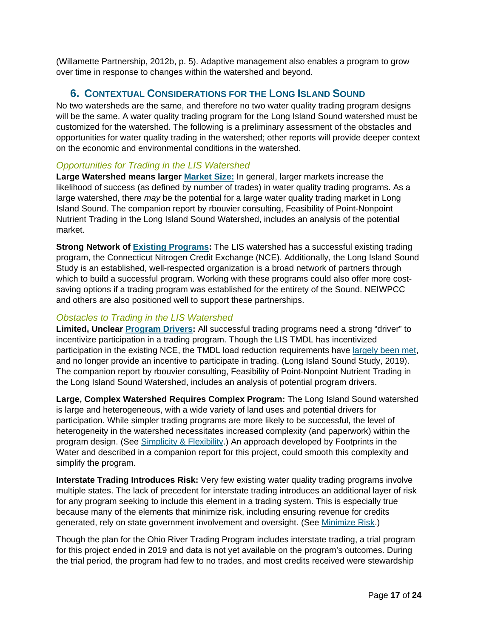(Willamette Partnership, 2012b, p. 5). Adaptive management also enables a program to grow over time in response to changes within the watershed and beyond.

# <span id="page-16-0"></span>**6. CONTEXTUAL CONSIDERATIONS FOR THE LONG ISLAND SOUND**

No two watersheds are the same, and therefore no two water quality trading program designs will be the same. A water quality trading program for the Long Island Sound watershed must be customized for the watershed. The following is a preliminary assessment of the obstacles and opportunities for water quality trading in the watershed; other reports will provide deeper context on the economic and environmental conditions in the watershed.

# *Opportunities for Trading in the LIS Watershed*

**Large Watershed means larger [Market Size:](#page-10-0)** In general, larger markets increase the likelihood of success (as defined by number of trades) in water quality trading programs. As a large watershed, there *may* be the potential for a large water quality trading market in Long Island Sound. The companion report by rbouvier consulting, Feasibility of Point-Nonpoint Nutrient Trading in the Long Island Sound Watershed, includes an analysis of the potential market.

**Strong Network of [Existing Programs:](#page-15-1)** The LIS watershed has a successful existing trading program, the Connecticut Nitrogen Credit Exchange (NCE). Additionally, the Long Island Sound Study is an established, well-respected organization is a broad network of partners through which to build a successful program. Working with these programs could also offer more costsaving options if a trading program was established for the entirety of the Sound. NEIWPCC and others are also positioned well to support these partnerships.

# *Obstacles to Trading in the LIS Watershed*

**Limited, Unclear Program Drivers:** All successful trading programs need a strong "driver" to incentivize participation in a trading program. Though the LIS TMDL has incentivized participation in the existing NCE, the TMDL load reduction requirements have [largely been met,](https://longislandsoundstudy.net/our-vision-and-plan/clean-waters-and-healthy-watersheds/clean-water-in-lis/) and no longer provide an incentive to participate in trading. (Long Island Sound Study, 2019). The companion report by rbouvier consulting, Feasibility of Point-Nonpoint Nutrient Trading in the Long Island Sound Watershed, includes an analysis of potential program drivers.

**Large, Complex Watershed Requires Complex Program:** The Long Island Sound watershed is large and heterogeneous, with a wide variety of land uses and potential drivers for participation. While simpler trading programs are more likely to be successful, the level of heterogeneity in the watershed necessitates increased complexity (and paperwork) within the program design. (See [Simplicity & Flexibility.](#page-6-1)) An approach developed by Footprints in the Water and described in a companion report for this project, could smooth this complexity and simplify the program.

**Interstate Trading Introduces Risk:** Very few existing water quality trading programs involve multiple states. The lack of precedent for interstate trading introduces an additional layer of risk for any program seeking to include this element in a trading system. This is especially true because many of the elements that minimize risk, including ensuring revenue for credits generated, rely on state government involvement and oversight. (See [Minimize Risk.](#page-8-1))

Though the plan for the Ohio River Trading Program includes interstate trading, a trial program for this project ended in 2019 and data is not yet available on the program's outcomes. During the trial period, the program had few to no trades, and most credits received were stewardship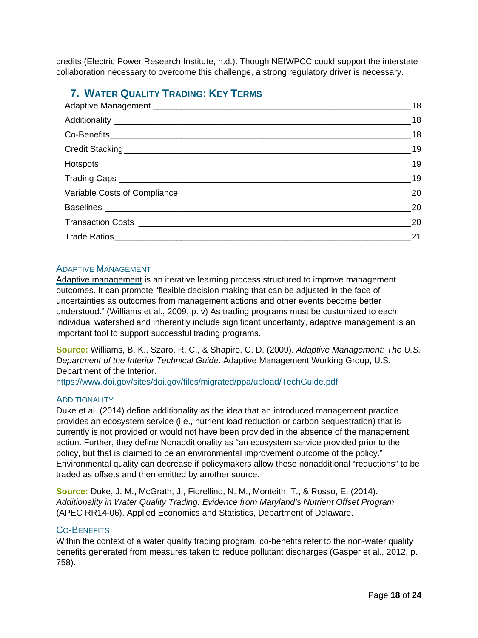credits (Electric Power Research Institute, n.d.). Though NEIWPCC could support the interstate collaboration necessary to overcome this challenge, a strong regulatory driver is necessary.

# <span id="page-17-0"></span>**7. WATER QUALITY TRADING: KEY TERMS**

| 18 |
|----|
| 18 |
| 18 |
| 19 |
| 19 |
| 19 |
| 20 |
| 20 |
| 20 |
| 21 |
|    |

# <span id="page-17-1"></span>ADAPTIVE MANAGEMENT

<span id="page-17-4"></span>Adaptive management is an iterative learning process structured to improve management outcomes. It can promote "flexible decision making that can be adjusted in the face of uncertainties as outcomes from management actions and other events become better understood." (Williams et al., 2009, p. v) As trading programs must be customized to each individual watershed and inherently include significant uncertainty, adaptive management is an important tool to support successful trading programs.

**Source:** Williams, B. K., Szaro, R. C., & Shapiro, C. D. (2009). *Adaptive Management: The U.S. Department of the Interior Technical Guide*. Adaptive Management Working Group, U.S. Department of the Interior.

<https://www.doi.gov/sites/doi.gov/files/migrated/ppa/upload/TechGuide.pdf>

# <span id="page-17-2"></span>**ADDITIONALITY**

Duke et al. (2014) define additionality as the idea that an introduced management practice provides an ecosystem service (i.e., nutrient load reduction or carbon sequestration) that is currently is not provided or would not have been provided in the absence of the management action. Further, they define Nonadditionality as "an ecosystem service provided prior to the policy, but that is claimed to be an environmental improvement outcome of the policy." Environmental quality can decrease if policymakers allow these nonadditional "reductions" to be traded as offsets and then emitted by another source.

**Source:** Duke, J. M., McGrath, J., Fiorellino, N. M., Monteith, T., & Rosso, E. (2014). *Additionality in Water Quality Trading: Evidence from Maryland's Nutrient Offset Program*  (APEC RR14-06). Applied Economics and Statistics, Department of Delaware.

#### <span id="page-17-3"></span>CO-BENEFITS

Within the context of a water quality trading program, co-benefits refer to the non-water quality benefits generated from measures taken to reduce pollutant discharges (Gasper et al., 2012, p. 758).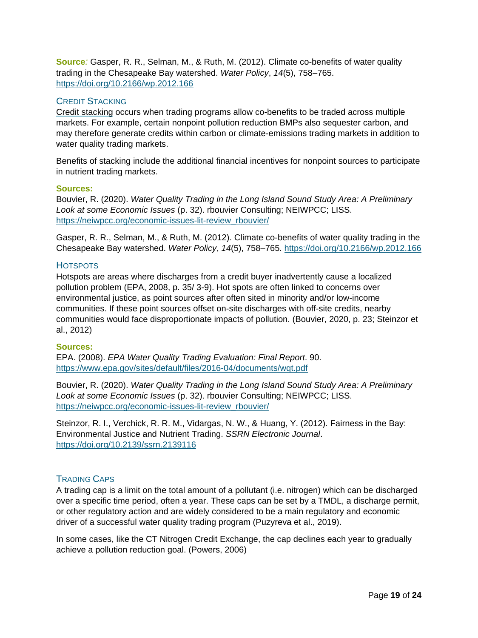**Source***:* Gasper, R. R., Selman, M., & Ruth, M. (2012). Climate co-benefits of water quality trading in the Chesapeake Bay watershed. *Water Policy*, *14*(5), 758–765. <https://doi.org/10.2166/wp.2012.166>

#### <span id="page-18-0"></span>CREDIT STACKING

Credit stacking occurs when trading programs allow co-benefits to be traded across multiple markets. For example, certain nonpoint pollution reduction BMPs also sequester carbon, and may therefore generate credits within carbon or climate-emissions trading markets in addition to water quality trading markets.

Benefits of stacking include the additional financial incentives for nonpoint sources to participate in nutrient trading markets.

#### **Sources:**

Bouvier, R. (2020). *Water Quality Trading in the Long Island Sound Study Area: A Preliminary Look at some Economic Issues* (p. 32). rbouvier Consulting; NEIWPCC; LISS. [https://neiwpcc.org/economic-issues-lit-review\\_rbouvier/](https://neiwpcc.org/economic-issues-lit-review_rbouvier/)

Gasper, R. R., Selman, M., & Ruth, M. (2012). Climate co-benefits of water quality trading in the Chesapeake Bay watershed. *Water Policy*, *14*(5), 758–765.<https://doi.org/10.2166/wp.2012.166>

#### <span id="page-18-1"></span>**HOTSPOTS**

Hotspots are areas where discharges from a credit buyer inadvertently cause a localized pollution problem (EPA, 2008, p. 35/ 3-9). Hot spots are often linked to concerns over environmental justice, as point sources after often sited in minority and/or low-income communities. If these point sources offset on-site discharges with off-site credits, nearby communities would face disproportionate impacts of pollution. (Bouvier, 2020, p. 23; Steinzor et al., 2012)

#### **Sources:**

EPA. (2008). *EPA Water Quality Trading Evaluation: Final Report*. 90. <https://www.epa.gov/sites/default/files/2016-04/documents/wqt.pdf>

Bouvier, R. (2020). *Water Quality Trading in the Long Island Sound Study Area: A Preliminary Look at some Economic Issues* (p. 32). rbouvier Consulting; NEIWPCC; LISS. [https://neiwpcc.org/economic-issues-lit-review\\_rbouvier/](https://neiwpcc.org/economic-issues-lit-review_rbouvier/)

Steinzor, R. I., Verchick, R. R. M., Vidargas, N. W., & Huang, Y. (2012). Fairness in the Bay: Environmental Justice and Nutrient Trading. *SSRN Electronic Journal*. <https://doi.org/10.2139/ssrn.2139116>

#### <span id="page-18-2"></span>TRADING CAPS

A trading cap is a limit on the total amount of a pollutant (i.e. nitrogen) which can be discharged over a specific time period, often a year. These caps can be set by a TMDL, a discharge permit, or other regulatory action and are widely considered to be a main regulatory and economic driver of a successful water quality trading program (Puzyreva et al., 2019).

In some cases, like the CT Nitrogen Credit Exchange, the cap declines each year to gradually achieve a pollution reduction goal. (Powers, 2006)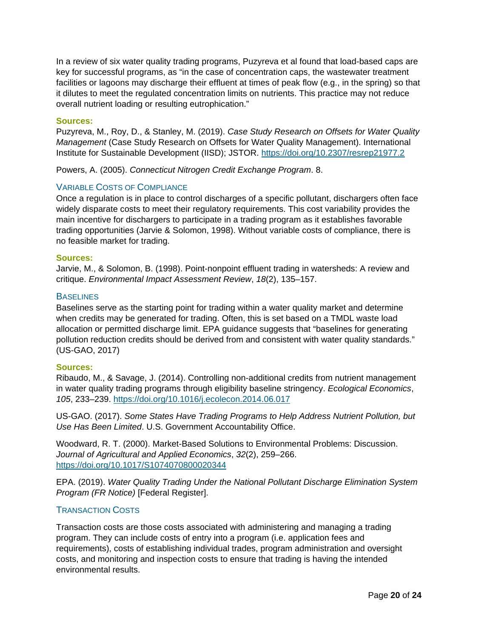In a review of six water quality trading programs, Puzyreva et al found that load-based caps are key for successful programs, as "in the case of concentration caps, the wastewater treatment facilities or lagoons may discharge their effluent at times of peak flow (e.g., in the spring) so that it dilutes to meet the regulated concentration limits on nutrients. This practice may not reduce overall nutrient loading or resulting eutrophication."

#### **Sources:**

Puzyreva, M., Roy, D., & Stanley, M. (2019). *Case Study Research on Offsets for Water Quality Management* (Case Study Research on Offsets for Water Quality Management). International Institute for Sustainable Development (IISD); JSTOR.<https://doi.org/10.2307/resrep21977.2>

Powers, A. (2005). *Connecticut Nitrogen Credit Exchange Program*. 8.

#### <span id="page-19-0"></span>VARIABLE COSTS OF COMPLIANCE

Once a regulation is in place to control discharges of a specific pollutant, dischargers often face widely disparate costs to meet their regulatory requirements. This cost variability provides the main incentive for dischargers to participate in a trading program as it establishes favorable trading opportunities (Jarvie & Solomon, 1998). Without variable costs of compliance, there is no feasible market for trading.

#### **Sources:**

Jarvie, M., & Solomon, B. (1998). Point-nonpoint effluent trading in watersheds: A review and critique. *Environmental Impact Assessment Review*, *18*(2), 135–157.

#### <span id="page-19-1"></span>**BASELINES**

Baselines serve as the starting point for trading within a water quality market and determine when credits may be generated for trading. Often, this is set based on a TMDL waste load allocation or permitted discharge limit. EPA guidance suggests that "baselines for generating pollution reduction credits should be derived from and consistent with water quality standards." (US-GAO, 2017)

#### **Sources:**

Ribaudo, M., & Savage, J. (2014). Controlling non-additional credits from nutrient management in water quality trading programs through eligibility baseline stringency. *Ecological Economics*, *105*, 233–239.<https://doi.org/10.1016/j.ecolecon.2014.06.017>

US-GAO. (2017). *Some States Have Trading Programs to Help Address Nutrient Pollution, but Use Has Been Limited*. U.S. Government Accountability Office.

Woodward, R. T. (2000). Market-Based Solutions to Environmental Problems: Discussion. *Journal of Agricultural and Applied Economics*, *32*(2), 259–266. <https://doi.org/10.1017/S1074070800020344>

EPA. (2019). *Water Quality Trading Under the National Pollutant Discharge Elimination System Program (FR Notice)* [Federal Register].

#### <span id="page-19-2"></span>TRANSACTION COSTS

Transaction costs are those costs associated with administering and managing a trading program. They can include costs of entry into a program (i.e. application fees and requirements), costs of establishing individual trades, program administration and oversight costs, and monitoring and inspection costs to ensure that trading is having the intended environmental results.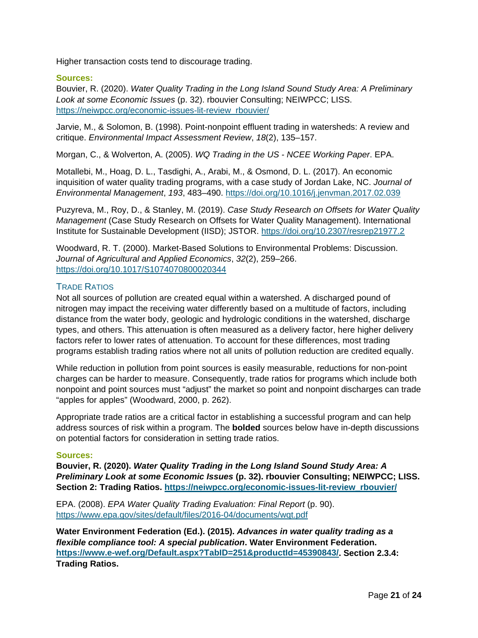Higher transaction costs tend to discourage trading.

#### **Sources:**

Bouvier, R. (2020). *Water Quality Trading in the Long Island Sound Study Area: A Preliminary Look at some Economic Issues* (p. 32). rbouvier Consulting; NEIWPCC; LISS. [https://neiwpcc.org/economic-issues-lit-review\\_rbouvier/](https://neiwpcc.org/economic-issues-lit-review_rbouvier/)

Jarvie, M., & Solomon, B. (1998). Point-nonpoint effluent trading in watersheds: A review and critique. *Environmental Impact Assessment Review*, *18*(2), 135–157.

Morgan, C., & Wolverton, A. (2005). *WQ Trading in the US - NCEE Working Paper*. EPA.

Motallebi, M., Hoag, D. L., Tasdighi, A., Arabi, M., & Osmond, D. L. (2017). An economic inquisition of water quality trading programs, with a case study of Jordan Lake, NC. *Journal of Environmental Management*, *193*, 483–490.<https://doi.org/10.1016/j.jenvman.2017.02.039>

Puzyreva, M., Roy, D., & Stanley, M. (2019). *Case Study Research on Offsets for Water Quality Management* (Case Study Research on Offsets for Water Quality Management). International Institute for Sustainable Development (IISD); JSTOR.<https://doi.org/10.2307/resrep21977.2>

Woodward, R. T. (2000). Market-Based Solutions to Environmental Problems: Discussion. *Journal of Agricultural and Applied Economics*, *32*(2), 259–266. <https://doi.org/10.1017/S1074070800020344>

#### <span id="page-20-0"></span>TRADE RATIOS

Not all sources of pollution are created equal within a watershed. A discharged pound of nitrogen may impact the receiving water differently based on a multitude of factors, including distance from the water body, geologic and hydrologic conditions in the watershed, discharge types, and others. This attenuation is often measured as a delivery factor, here higher delivery factors refer to lower rates of attenuation. To account for these differences, most trading programs establish trading ratios where not all units of pollution reduction are credited equally.

While reduction in pollution from point sources is easily measurable, reductions for non-point charges can be harder to measure. Consequently, trade ratios for programs which include both nonpoint and point sources must "adjust" the market so point and nonpoint discharges can trade "apples for apples" (Woodward, 2000, p. 262).

Appropriate trade ratios are a critical factor in establishing a successful program and can help address sources of risk within a program. The **bolded** sources below have in-depth discussions on potential factors for consideration in setting trade ratios.

#### **Sources:**

**Bouvier, R. (2020).** *Water Quality Trading in the Long Island Sound Study Area: A Preliminary Look at some Economic Issues* **(p. 32). rbouvier Consulting; NEIWPCC; LISS. Section 2: Trading Ratios. [https://neiwpcc.org/economic-issues-lit-review\\_rbouvier/](https://neiwpcc.org/economic-issues-lit-review_rbouvier/)**

EPA. (2008). *EPA Water Quality Trading Evaluation: Final Report* (p. 90). <https://www.epa.gov/sites/default/files/2016-04/documents/wqt.pdf>

**Water Environment Federation (Ed.). (2015).** *Advances in water quality trading as a flexible compliance tool: A special publication***. Water Environment Federation. [https://www.e-wef.org/Default.aspx?TabID=251&productId=45390843/.](https://www.e-wef.org/Default.aspx?TabID=251&productId=45390843/) Section 2.3.4: Trading Ratios.**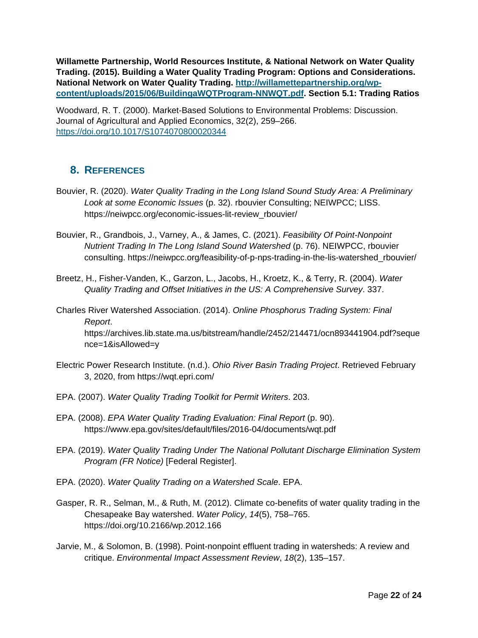**Willamette Partnership, World Resources Institute, & National Network on Water Quality Trading. (2015). Building a Water Quality Trading Program: Options and Considerations. National Network on Water Quality Trading. [http://willamettepartnership.org/wp](http://willamettepartnership.org/wp-content/uploads/2015/06/BuildingaWQTProgram-NNWQT.pdf)[content/uploads/2015/06/BuildingaWQTProgram-NNWQT.pdf.](http://willamettepartnership.org/wp-content/uploads/2015/06/BuildingaWQTProgram-NNWQT.pdf) Section 5.1: Trading Ratios** 

Woodward, R. T. (2000). Market-Based Solutions to Environmental Problems: Discussion. Journal of Agricultural and Applied Economics, 32(2), 259–266. <https://doi.org/10.1017/S1074070800020344>

# <span id="page-21-0"></span>**8. REFERENCES**

- Bouvier, R. (2020). *Water Quality Trading in the Long Island Sound Study Area: A Preliminary Look at some Economic Issues* (p. 32). rbouvier Consulting; NEIWPCC; LISS. https://neiwpcc.org/economic-issues-lit-review\_rbouvier/
- Bouvier, R., Grandbois, J., Varney, A., & James, C. (2021). *Feasibility Of Point-Nonpoint Nutrient Trading In The Long Island Sound Watershed* (p. 76). NEIWPCC, rbouvier consulting. https://neiwpcc.org/feasibility-of-p-nps-trading-in-the-lis-watershed\_rbouvier/
- Breetz, H., Fisher-Vanden, K., Garzon, L., Jacobs, H., Kroetz, K., & Terry, R. (2004). *Water Quality Trading and Offset Initiatives in the US: A Comprehensive Survey*. 337.
- Charles River Watershed Association. (2014). *Online Phosphorus Trading System: Final Report*. https://archives.lib.state.ma.us/bitstream/handle/2452/214471/ocn893441904.pdf?seque nce=1&isAllowed=y
- Electric Power Research Institute. (n.d.). *Ohio River Basin Trading Project*. Retrieved February 3, 2020, from https://wqt.epri.com/
- EPA. (2007). *Water Quality Trading Toolkit for Permit Writers*. 203.
- EPA. (2008). *EPA Water Quality Trading Evaluation: Final Report* (p. 90). https://www.epa.gov/sites/default/files/2016-04/documents/wqt.pdf
- EPA. (2019). *Water Quality Trading Under The National Pollutant Discharge Elimination System Program (FR Notice)* [Federal Register].
- EPA. (2020). *Water Quality Trading on a Watershed Scale*. EPA.
- Gasper, R. R., Selman, M., & Ruth, M. (2012). Climate co-benefits of water quality trading in the Chesapeake Bay watershed. *Water Policy*, *14*(5), 758–765. https://doi.org/10.2166/wp.2012.166
- Jarvie, M., & Solomon, B. (1998). Point-nonpoint effluent trading in watersheds: A review and critique. *Environmental Impact Assessment Review*, *18*(2), 135–157.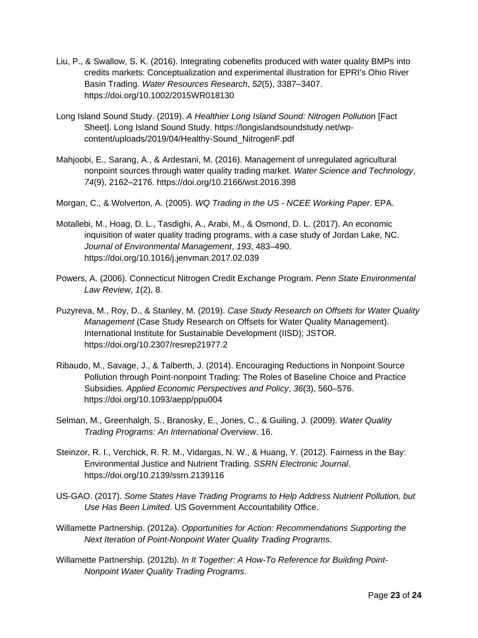- Liu, P., & Swallow, S. K. (2016). Integrating cobenefits produced with water quality BMPs into credits markets: Conceptualization and experimental illustration for EPRI's Ohio River Basin Trading. *Water Resources Research*, *52*(5), 3387–3407. https://doi.org/10.1002/2015WR018130
- Long Island Sound Study. (2019). *A Healthier Long Island Sound: Nitrogen Pollution* [Fact Sheet]. Long Island Sound Study. https://longislandsoundstudy.net/wpcontent/uploads/2019/04/Healthy-Sound\_NitrogenF.pdf
- Mahjoobi, E., Sarang, A., & Ardestani, M. (2016). Management of unregulated agricultural nonpoint sources through water quality trading market. *Water Science and Technology*, *74*(9), 2162–2176. https://doi.org/10.2166/wst.2016.398
- Morgan, C., & Wolverton, A. (2005). *WQ Trading in the US - NCEE Working Paper*. EPA.
- Motallebi, M., Hoag, D. L., Tasdighi, A., Arabi, M., & Osmond, D. L. (2017). An economic inquisition of water quality trading programs, with a case study of Jordan Lake, NC. *Journal of Environmental Management*, *193*, 483–490. https://doi.org/10.1016/j.jenvman.2017.02.039
- Powers, A. (2006). Connecticut Nitrogen Credit Exchange Program. *Penn State Environmental Law Review*, *1*(2), 8.
- Puzyreva, M., Roy, D., & Stanley, M. (2019). *Case Study Research on Offsets for Water Quality Management* (Case Study Research on Offsets for Water Quality Management). International Institute for Sustainable Development (IISD); JSTOR. https://doi.org/10.2307/resrep21977.2
- Ribaudo, M., Savage, J., & Talberth, J. (2014). Encouraging Reductions in Nonpoint Source Pollution through Point‐nonpoint Trading: The Roles of Baseline Choice and Practice Subsidies. *Applied Economic Perspectives and Policy*, *36*(3), 560–576. https://doi.org/10.1093/aepp/ppu004
- Selman, M., Greenhalgh, S., Branosky, E., Jones, C., & Guiling, J. (2009). *Water Quality Trading Programs: An International Overview*. 16.
- Steinzor, R. I., Verchick, R. R. M., Vidargas, N. W., & Huang, Y. (2012). Fairness in the Bay: Environmental Justice and Nutrient Trading. *SSRN Electronic Journal*. https://doi.org/10.2139/ssrn.2139116
- US-GAO. (2017). *Some States Have Trading Programs to Help Address Nutrient Pollution, but Use Has Been Limited*. US Government Accountability Office.
- Willamette Partnership. (2012a). *Opportunities for Action: Recommendations Supporting the Next Iteration of Point-Nonpoint Water Quality Trading Programs*.
- Willamette Partnership. (2012b). *In It Together: A How-To Reference for Building Point-Nonpoint Water Quality Trading Programs*.